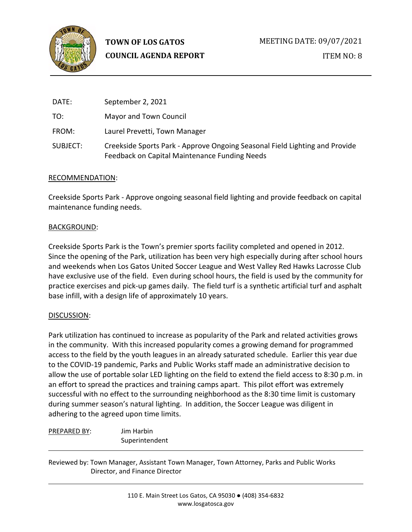

**TOWN OF LOS GATOS COUNCIL AGENDA REPORT**

| DATE:    | September 2, 2021                                                                                                            |
|----------|------------------------------------------------------------------------------------------------------------------------------|
| TO:      | Mayor and Town Council                                                                                                       |
| FROM:    | Laurel Prevetti, Town Manager                                                                                                |
| SUBJECT: | Creekside Sports Park - Approve Ongoing Seasonal Field Lighting and Provide<br>Feedback on Capital Maintenance Funding Needs |

#### RECOMMENDATION:

Creekside Sports Park - Approve ongoing seasonal field lighting and provide feedback on capital maintenance funding needs.

#### BACKGROUND:

Creekside Sports Park is the Town's premier sports facility completed and opened in 2012. Since the opening of the Park, utilization has been very high especially during after school hours and weekends when Los Gatos United Soccer League and West Valley Red Hawks Lacrosse Club have exclusive use of the field. Even during school hours, the field is used by the community for practice exercises and pick-up games daily. The field turf is a synthetic artificial turf and asphalt base infill, with a design life of approximately 10 years.

#### DISCUSSION:

Park utilization has continued to increase as popularity of the Park and related activities grows in the community. With this increased popularity comes a growing demand for programmed access to the field by the youth leagues in an already saturated schedule. Earlier this year due to the COVID-19 pandemic, Parks and Public Works staff made an administrative decision to allow the use of portable solar LED lighting on the field to extend the field access to 8:30 p.m. in an effort to spread the practices and training camps apart. This pilot effort was extremely successful with no effect to the surrounding neighborhood as the 8:30 time limit is customary during summer season's natural lighting. In addition, the Soccer League was diligent in adhering to the agreed upon time limits.

| <b>PREPARED BY:</b> | Jim Harbin     |
|---------------------|----------------|
|                     | Superintendent |

Reviewed by: Town Manager, Assistant Town Manager, Town Attorney, Parks and Public Works Director, and Finance Director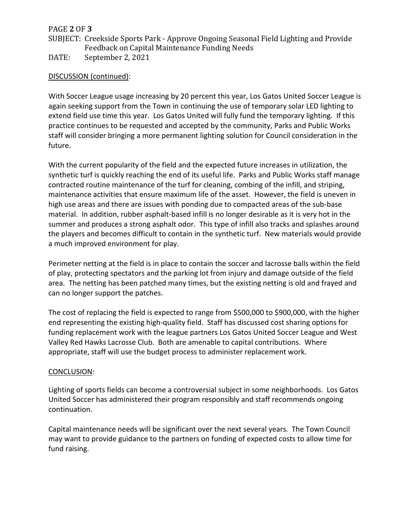## PAGE **2** OF **3**

- SUBJECT: Creekside Sports Park Approve Ongoing Seasonal Field Lighting and Provide Feedback on Capital Maintenance Funding Needs
- DATE: September 2, 2021

## DISCUSSION (continued):

With Soccer League usage increasing by 20 percent this year, Los Gatos United Soccer League is again seeking support from the Town in continuing the use of temporary solar LED lighting to extend field use time this year. Los Gatos United will fully fund the temporary lighting. If this practice continues to be requested and accepted by the community, Parks and Public Works staff will consider bringing a more permanent lighting solution for Council consideration in the future.

With the current popularity of the field and the expected future increases in utilization, the synthetic turf is quickly reaching the end of its useful life. Parks and Public Works staff manage contracted routine maintenance of the turf for cleaning, combing of the infill, and striping, maintenance activities that ensure maximum life of the asset. However, the field is uneven in high use areas and there are issues with ponding due to compacted areas of the sub-base material. In addition, rubber asphalt-based infill is no longer desirable as it is very hot in the summer and produces a strong asphalt odor. This type of infill also tracks and splashes around the players and becomes difficult to contain in the synthetic turf. New materials would provide a much improved environment for play.

Perimeter netting at the field is in place to contain the soccer and lacrosse balls within the field of play, protecting spectators and the parking lot from injury and damage outside of the field area. The netting has been patched many times, but the existing netting is old and frayed and can no longer support the patches.

The cost of replacing the field is expected to range from \$500,000 to \$900,000, with the higher end representing the existing high-quality field. Staff has discussed cost sharing options for funding replacement work with the league partners Los Gatos United Soccer League and West Valley Red Hawks Lacrosse Club. Both are amenable to capital contributions. Where appropriate, staff will use the budget process to administer replacement work.

#### CONCLUSION:

Lighting of sports fields can become a controversial subject in some neighborhoods. Los Gatos United Soccer has administered their program responsibly and staff recommends ongoing continuation.

Capital maintenance needs will be significant over the next several years. The Town Council may want to provide guidance to the partners on funding of expected costs to allow time for fund raising.